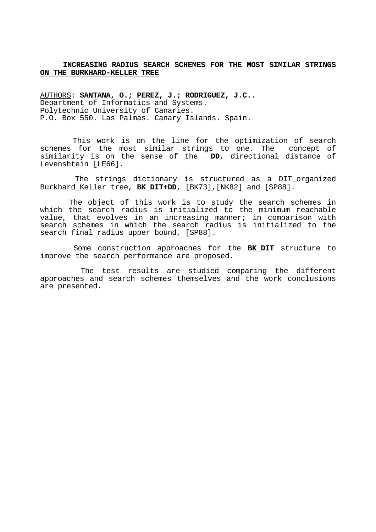## **INCREASING RADIUS SEARCH SCHEMES FOR THE MOST SIMILAR STRINGS ON THE BURKHARD-KELLER TREE**

AUTHORS: **SANTANA, O.; PEREZ, J.; RODRIGUEZ, J.C..** Department of Informatics and Systems. Polytechnic University of Canaries. P.O. Box 550. Las Palmas. Canary Islands. Spain.

 This work is on the line for the optimization of search schemes for the most similar strings to one. The concept of similarity is on the sense of the **DD**, directional distance of Levenshtein [LE66].

 The strings dictionary is structured as a DIT\_organized Burkhard\_Keller tree, **BK\_DIT+DD**, [BK73],[NK82] and [SP88].

 The object of this work is to study the search schemes in which the search radius is initialized to the minimum reachable value, that evolves in an increasing manner; in comparison with search schemes in which the search radius is initialized to the search final radius upper bound, [SP88].

 Some construction approaches for the **BK\_DIT** structure to improve the search performance are proposed.

 The test results are studied comparing the different approaches and search schemes themselves and the work conclusions are presented.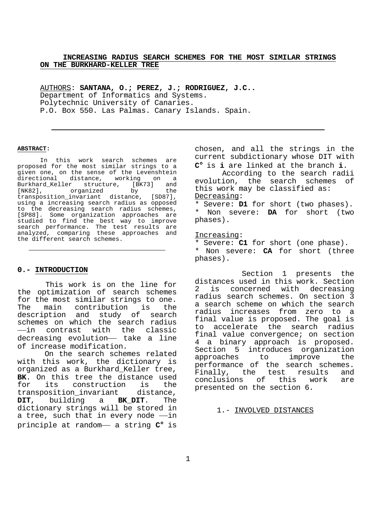### **INCREASING RADIUS SEARCH SCHEMES FOR THE MOST SIMILAR STRINGS ON THE BURKHARD-KELLER TREE**

AUTHORS: **SANTANA, O.; PEREZ, J.; RODRIGUEZ, J.C..** Department of Informatics and Systems. Polytechnic University of Canaries. P.O. Box 550. Las Palmas. Canary Islands. Spain.

#### **ABSTRACT:**

In this work search schemes are proposed for the most similar strings to a given one, on the sense of the Levenshtein directional distance, working on a Burkhard\_Keller structure, [BK73] and [NK82], organized by the<br>transposition\_invariant distance, [SD87], transposition invariant distance, using a increasing search radius as opposed to the decreasing search radius schemes, [SP88]. Some organization approaches are studied to find the best way to improve search performance. The test results are analyzed, comparing these approaches and the different search schemes.

### **0.- INTRODUCTION**

 This work is on the line for the optimization of search schemes for the most similar strings to one. The main contribution is the description and study of search schemes on which the search radius Th -in contrast with the classic description and study of search<br>schemes on which the search radius<br>—in contrast with the classic<br>decreasing evolution— take a line of increase modification.

 On the search schemes related with this work, the dictionary is organized as a Burkhard\_Keller tree, **BK**. On this tree the distance used for its construction is the transposition invariant distance, **DIT**, building a **BK\_DIT**. The dictionary strings will be stored in transposition\_invariant distance,<br>**DIT**, building a **BK\_DIT**. The<br>dictionary strings will be stored in<br>a tree, such that in every node —in **DIT**, building a **BK\_DIT**. The<br>dictionary strings will be stored in<br>a tree, such that in every node —in<br>principle at random— a string  $C^{\circ}$  is

chosen, and all the strings in the current subdictionary whose DIT with **C**° is **i** are linked at the branch **i**.

 According to the search radii evolution, the search schemes of this work may be classified as: Decreasing:

\* Severe: **D1** for short (two phases). \* Non severe: **DA** for short (two phases).

### Increasing:

\* Severe: **C1** for short (one phase). \* Non severe: **CA** for short (three phases).

 Section 1 presents the distances used in this work. Section 2 is concerned with decreasing radius search schemes. On section 3 a search scheme on which the search radius increases from zero to a final value is proposed. The goal is to accelerate the search radius final value convergence; on section 4 a binary approach is proposed. Section 5 introduces organization approaches to improve the performance of the search schemes. Finally, the test results and conclusions of this work are presented on the section 6.

1.- INVOLVED DISTANCES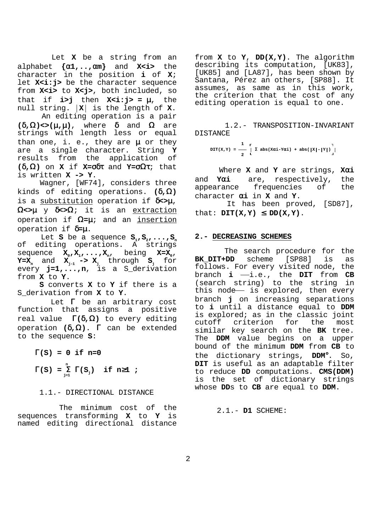Let **X** be a string from an alphabet **{**α**1,..,**α**m}** and **X<i>** the character in the position **i** of **X**; let X<i:j> be the character sequence from **X<i>** to **X<j>**, both included, so that if **i>j** then **X<i:j> =** µ, the null string.  $|X|$  is the length of **X**. An editing operation is a pair

**(**δ**,**Ω**)<>(**µ**,**µ**)**, where δ and Ω are strings with length less or equal than one, i. e., they are  $\mu$  or they are a single character. String **Y** results from the application of **(**δ**,**Ω**)** on **X** if **X=**σδτ and **Y=**σΩτ; that is written **X -> Y**. Wagner, [WF74], considers three

kinds of editing operations. **(**δ**,**Ω**)** is a substitution operation if δ**<>**µ, Ω**<>**µ y δ**<>**Ω; it is an extraction operation if Ω**=**µ; and an insertion operation if δ**=**µ.

Let **S** be a sequence  $S_1, S_2, \ldots, S_n$ of editing operations. A strings sequence  $X_0, X_1, \ldots, X_n$ , being  $X=X_0$ ,  $\mathbf{Y} = \mathbf{X}_n$  and  $\mathbf{X}_{j-1}$  ->  $\mathbf{X}_j$  through  $\mathbf{S}_j$  for every **j=1,...,n**, is a S\_derivation from **X** to **Y**.

 **S** converts **X** to **Y** if there is a S\_derivation from **X** to **Y**.

Let  $\Gamma$  be an arbitrary cost function that assigns a positive real value Γ**(**δ**,**Ω**)** to every editing operation **(**δ**,**Ω**)**. Γ can be extended to the sequence **S**:

 $\Gamma(S) = 0$  if n=0  **n**

 $\Gamma(S) = \sum_{i=1}^{n} \Gamma(S_i)$  if n≥1 ;  **j=1**

# 1.1.- DIRECTIONAL DISTANCE

 The minimum cost of the sequences transforming **X** to **Y** is named editing directional distance

from **X** to **Y**, **DD(X,Y)**. The algorithm describing its computation, [UK83], [UK85] and [LA87], has been shown by Santana, Pérez an others, [SP88]. It assumes, as same as in this work, the criterion that the cost of any editing operation is equal to one.

 1.2.- TRANSPOSITION-INVARIANT DISTANCE

$$
DIT(X,Y) = \frac{1}{2} \left[ \sum_{i=1}^{n} \sum_{j=1}^{n} \sum_{j=1}^{n} \sum_{j=1}^{n} \sum_{j=1}^{n} \sum_{j=1}^{n} \sum_{j=1}^{n} \sum_{j=1}^{n} \sum_{j=1}^{n} \sum_{j=1}^{n} \sum_{j=1}^{n} \sum_{j=1}^{n} \sum_{j=1}^{n} \sum_{j=1}^{n} \sum_{j=1}^{n} \sum_{j=1}^{n} \sum_{j=1}^{n} \sum_{j=1}^{n} \sum_{j=1}^{n} \sum_{j=1}^{n} \sum_{j=1}^{n} \sum_{j=1}^{n} \sum_{j=1}^{n} \sum_{j=1}^{n} \sum_{j=1}^{n} \sum_{j=1}^{n} \sum_{j=1}^{n} \sum_{j=1}^{n} \sum_{j=1}^{n} \sum_{j=1}^{n} \sum_{j=1}^{n} \sum_{j=1}^{n} \sum_{j=1}^{n} \sum_{j=1}^{n} \sum_{j=1}^{n} \sum_{j=1}^{n} \sum_{j=1}^{n} \sum_{j=1}^{n} \sum_{j=1}^{n} \sum_{j=1}^{n} \sum_{j=1}^{n} \sum_{j=1}^{n} \sum_{j=1}^{n} \sum_{j=1}^{n} \sum_{j=1}^{n} \sum_{j=1}^{n} \sum_{j=1}^{n} \sum_{j=1}^{n} \sum_{j=1}^{n} \sum_{j=1}^{n} \sum_{j=1}^{n} \sum_{j=1}^{n} \sum_{j=1}^{n} \sum_{j=1}^{n} \sum_{j=1}^{n} \sum_{j=1}^{n} \sum_{j=1}^{n} \sum_{j=1}^{n} \sum_{j=1}^{n} \sum_{j=1}^{n} \sum_{j=1}^{n} \sum_{j=1}^{n} \sum_{j=1}^{n} \sum_{j=1}^{n} \sum_{j=1}^{n} \sum_{j=1}^{n} \sum_{j=1}^{n} \sum_{j=1}^{n} \sum_{j=1}^{n} \sum_{j=1}^{n} \sum_{j=1}^{n} \sum_{j=1}^{n} \sum_{j=1}^{n} \sum_{j=1}^{n} \sum_{
$$

 Where **X** and **Y** are strings, **X**α**i** and **Y**α**i** are, respectively, the appearance frequencies of the character α**i** in **X** and **Y**.

 It has been proved, [SD87], that:  $DT(X,Y) \leq DD(X,Y)$ .

## **2.- DECREASING SCHEMES**

 The search procedure for the **BK\_DIT+DD** scheme [SP88] is as follows. For every visited node, the branch **i**  $-i.e.,$  the **DIT** from **CB** (search string) to the string in follows. For every visited node, the<br>branch **i** —i.e., the **DIT** from **CB**<br>(search string) to the string in<br>this node— is explored, then every branch **j** on increasing separations to **i** until a distance equal to **DDM** is explored; as in the classic joint cutoff criterion for the most similar key search on the **BK** tree. The **DDM** value begins on a upper bound of the minimum **DDM** from **CB** to the dictionary strings, **DDM**°. So, **DIT** is useful as an adaptable filter to reduce **DD** computations. **CMS(DDM)** is the set of dictionary strings whose **DD**s to **CB** are equal to **DDM**.

2.1.- **D1** SCHEME: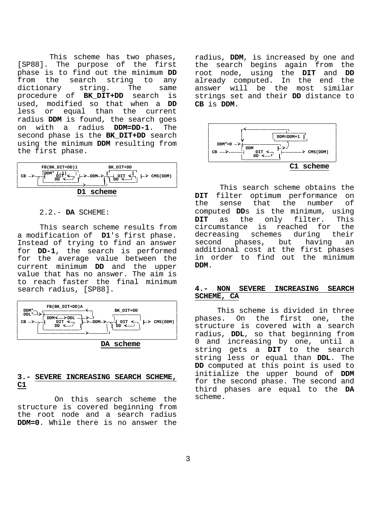This scheme has two phases, [SP88]. The purpose of the first phase is to find out the minimum **DD** from the search string to any dictionary string. The same procedure of **BK\_DIT+DD** search is used, modified so that when a **DD** less or equal than the current radius **DDM** is found, the search goes on with a radius **DDM=DD-1**. The second phase is the **BK\_DIT+DD** search using the minimum **DDM** resulting from the first phase.

| FB(BK DIT+DD)1<br>$DDM^{\circ}$<br>-->-орм->- <del>-</del> | BK DIT+DD<br>$\mathbb{L}$ $\mathbb{L}$ $\mathbb{L}$ $\mathbb{L}$ $\rightarrow$ $\mathbb{L}$ $\mathbb{L}$ $\rightarrow$ $\mathbb{L}$ $\mathbb{L}$ $\rightarrow$ $\mathbb{L}$ $\mathbb{L}$ $\rightarrow$ $\mathbb{L}$ $\mathbb{L}$ $\rightarrow$ $\mathbb{L}$ $\mathbb{L}$ $\rightarrow$ $\mathbb{L}$ $\mathbb{L}$ $\rightarrow$ $\mathbb{L}$ $\mathbb{L}$ $\rightarrow$ $\mathbb{L}$ $\mathbb{L}$ |
|------------------------------------------------------------|--------------------------------------------------------------------------------------------------------------------------------------------------------------------------------------------------------------------------------------------------------------------------------------------------------------------------------------------------------------------------------------------------|
| scheme<br>ות                                               |                                                                                                                                                                                                                                                                                                                                                                                                  |

### 2.2.- **DA** SCHEME:

 This search scheme results from a modification of **D1**'s first phase. Instead of trying to find an answer for **DD-1**, the search is performed for the average value between the current minimum **DD** and the upper value that has no answer. The aim is to reach faster the final minimum search radius, [SP88].



## **3.- SEVERE INCREASING SEARCH SCHEME, C1**

 On this search scheme the structure is covered beginning from the root node and a search radius **DDM=0**. While there is no answer the

radius, **DDM**, is increased by one and the search begins again from the root node, using the **DIT** and **DD** already computed. In the end the answer will be the most similar strings set and their **DD** distance to **CB** is **DDM**.



 This search scheme obtains the **DIT** filter optimum performance on the sense that the number of computed **DD**s is the minimum, using **DIT** as the only filter. This circumstance is reached for the decreasing schemes during their second phases, but having an additional cost at the first phases in order to find out the minimum **DDM**.

## **4.- NON SEVERE INCREASING SEARCH SCHEME, CA**

 This scheme is divided in three phases. On the first one, the structure is covered with a search radius, **DDL**, so that beginning from 0 and increasing by one, until a string gets a **DIT** to the search string less or equal than **DDL**. The **DD** computed at this point is used to initialize the upper bound of **DDM** for the second phase. The second and third phases are equal to the **DA** scheme.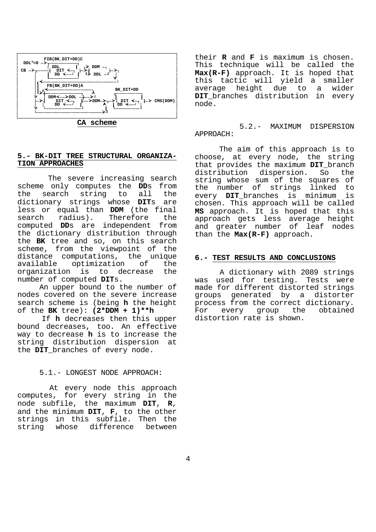

**CA scheme**

### **5.- BK-DIT TREE STRUCTURAL ORGANIZA-TION APPROACHES**

 The severe increasing search scheme only computes the **DD**s from the search string to all the dictionary strings whose **DIT**s are less or equal than **DDM** (the final search radius). Therefore the computed **DD**s are independent from the dictionary distribution through the **BK** tree and so, on this search scheme, from the viewpoint of the distance computations, the unique available optimization of the organization is to decrease the number of computed **DIT**s.

 An upper bound to the number of nodes covered on the severe increase search scheme is (being **h** the height of the **BK** tree): **(2\*DDM + 1)\*\*h**

 If **h** decreases then this upper bound decreases, too. An effective way to decrease **h** is to increase the string distribution dispersion at the **DIT**\_branches of every node.

## 5.1.- LONGEST NODE APPROACH:

 At every node this approach computes, for every string in the node subfile, the maximum **DIT**, **R**, and the minimum **DIT**, **F**, to the other strings in this subfile. Then the string whose difference between

their **R** and **F** is maximum is chosen. This technique will be called the **Max(R-F)** approach. It is hoped that this tactic will yield a smaller average height due to a wider **DIT**\_branches distribution in every node.

 5.2.- MAXIMUM DISPERSION APPROACH:

 The aim of this approach is to choose, at every node, the string that provides the maximum **DIT**\_branch distribution dispersion. So the string whose sum of the squares of the number of strings linked to every **DIT**\_branches is minimum is chosen. This approach will be called **MS** approach. It is hoped that this approach gets less average height and greater number of leaf nodes than the **Max(R-F)** approach.

### **6.- TEST RESULTS AND CONCLUSIONS**

 A dictionary with 2089 strings was used for testing. Tests were made for different distorted strings groups generated by a distorter process from the correct dictionary. For every group the obtained distortion rate is shown.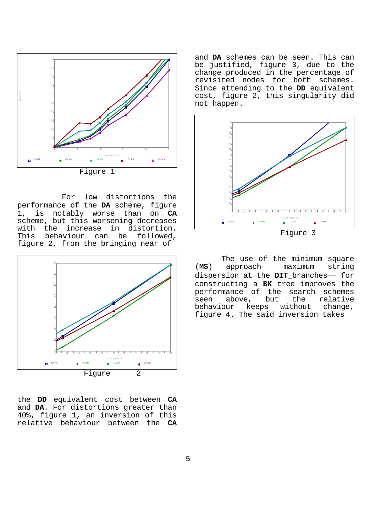

 For low distortions the performance of the **DA** scheme, figure 1, is notably worse than on **CA** scheme, but this worsening decreases with the increase in distortion. This behaviour can be followed, figure 2, from the bringing near of



the **DD** equivalent cost between **CA** and **DA**. For distortions greater than 40%, figure 1, an inversion of this relative behaviour between the **CA**

and **DA** schemes can be seen. This can be justified, figure 3, due to the change produced in the percentage of revisited nodes for both schemes. Since attending to the **DD** equivalent cost, figure 2, this singularity did not happen.



 The use of the minimum square The use of the minimum square<br>(**MS**) approach — maximum string (MS) approach - maximum string<br>dispersion at the **DIT** branches-for constructing a **BK** tree improves the performance of the search schemes seen above, but the relative<br>behaviour keeps without change, behaviour keeps without change, figure 4. The said inversion takes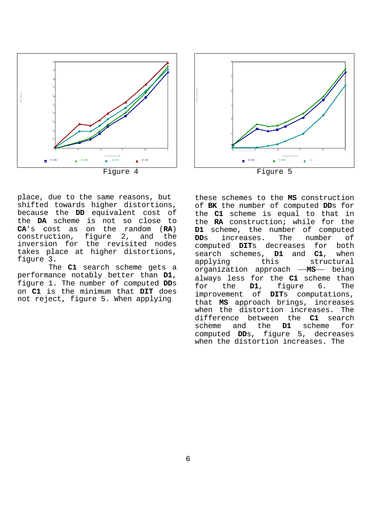



place, due to the same reasons, but shifted towards higher distortions, because the **DD** equivalent cost of the **DA** scheme is not so close to **CA**'s cost as on the random (**RA**) construction, figure 2, and the inversion for the revisited nodes takes place at higher distortions, figure 3.

 The **C1** search scheme gets a performance notably better than **D1**, figure 1. The number of computed **DD**s on **C1** is the minimum that **DIT** does not reject, figure 5. When applying

these schemes to the **MS** construction of **BK** the number of computed **DD**s for the **C1** scheme is equal to that in the **RA** construction; while for the **D1** scheme, the number of computed **DD**s increases. The number of computed **DIT**s decreases for both search schemes, **D1** and **C1**, when applying this structural organization approach **-MS**- being always less for the **C1** scheme than<br>for the **D1**, figure 6. The for the **D1**, figure 6. The improvement of **DIT**s computations, that **MS** approach brings, increases when the distortion increases. The difference between the **C1** search scheme and the **D1** scheme for computed **DD**s, figure 5, decreases when the distortion increases. The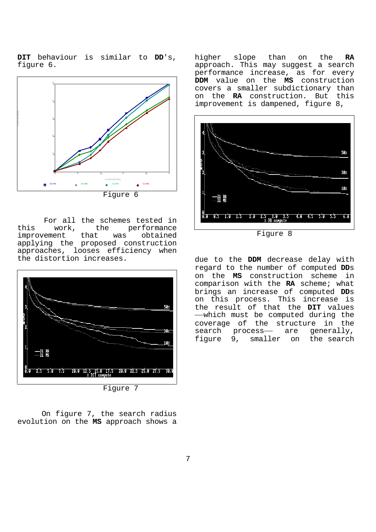**DIT** behaviour is similar to **DD**'s, figure 6.



 For all the schemes tested in this work, the performance<br>improvement that was obtained improvement that was applying the proposed construction approaches, looses efficiency when the distortion increases.



 On figure 7, the search radius evolution on the **MS** approach shows a higher slope than on the **RA** approach. This may suggest a search performance increase, as for every **DDM** value on the **MS** construction covers a smaller subdictionary than on the **RA** construction. But this improvement is dampened, figure 8,



Figure 8

due to the **DDM** decrease delay with regard to the number of computed **DD**s on the **MS** construction scheme in comparison with the **RA** scheme; what brings an increase of computed **DD**s on this process. This increase is the result of that the **DIT** values which must be computed during the coverage of the structure in the<br>search process- are generally, the result of that the **DIT** values<br>—which must be computed during the<br>coverage of the structure in the<br>search process— are generally, figure 9, smaller on the search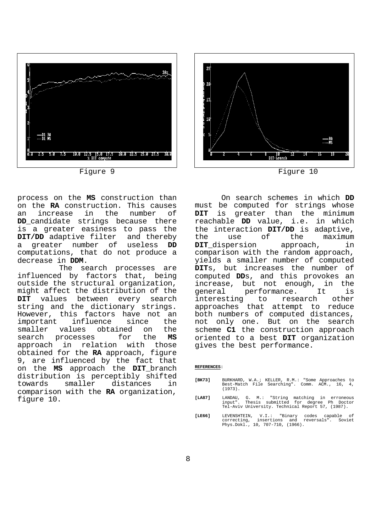



process on the **MS** construction than on the **RA** construction. This causes<br>an increase in the number of an increase DD candidate strings because there is a greater easiness to pass the **DIT/DD** adaptive filter and thereby a greater number of useless **DD** computations, that do not produce a decrease in **DDM**.<br>The search processes are

influenced by factors that, being outside the structural organization, might affect the distribution of the **DIT** values between every search string and the dictionary strings. However, this factors have not an<br>important influence since the influence since the smaller values obtained on the search processes for the **MS** approach in relation with those obtained for the **RA** approach, figure 9, are influenced by the fact that on the **MS** approach the **DIT**\_branch distribution is perceptibly shifted<br>towards smaller distances in towards smaller distances in comparison with the **RA** organization, figure 10.

 On search schemes in which **DD** must be computed for strings whose **DIT** is greater than the minimum reachable **DD** value, i.e. in which the interaction **DIT/DD** is adaptive, the use of the maximum **DIT**\_dispersion approach, in comparison with the random approach, yields a smaller number of computed **DIT**s, but increases the number of computed **DD**s, and this provokes an increase, but not enough, in the general performance. It is interesting to research other approaches that attempt to reduce both numbers of computed distances, not only one. But on the search scheme **C1** the construction approach oriented to a best **DIT** organization gives the best performance.

#### **REFERENCES:**

- **[BK73]** BURKHARD, W.A.; KELLER, R.M.: "Some Approaches to Best-Match File Searching". Comm. ACM., 16, 4, (1973).
- **[LA87]** LANDAU, G. M.: "String matching in erroneous input". Thesis submitted for degree Ph Doctor Tel-Aviv University. Technical Report 57, (1987).
- **[LE66]** LEVENSHTEIN, V.I.: "Binary codes capable of correcting, insertions and reversals". Soviet Phys.Dokl., 10, 707-710, (1966).